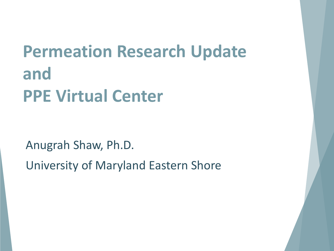# **Permeation Research Update and PPE Virtual Center**

Anugrah Shaw, Ph.D.

University of Maryland Eastern Shore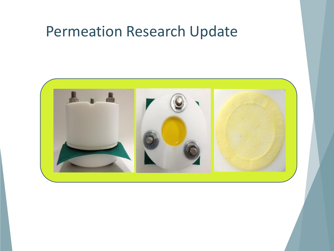#### Permeation Research Update

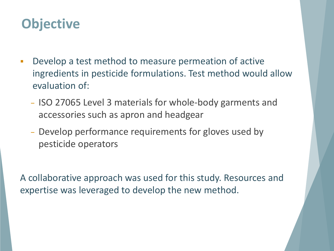#### **Objective**

- **-** Develop a test method to measure permeation of active ingredients in pesticide formulations. Test method would allow evaluation of:
	- − ISO 27065 Level 3 materials for whole-body garments and accessories such as apron and headgear
	- − Develop performance requirements for gloves used by pesticide operators

A collaborative approach was used for this study. Resources and expertise was leveraged to develop the new method.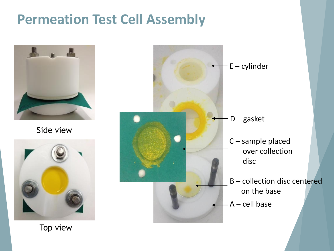#### **Permeation Test Cell Assembly**



Side view



A – cell base B – collection disc centered on the base E – cylinder D – gasket C – sample placed over collection disc

Top view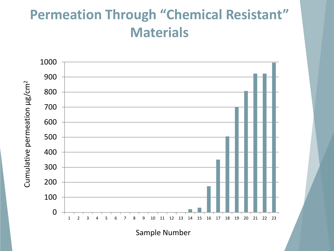#### **Permeation Through "Chemical Resistant" Materials**

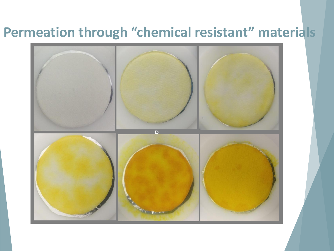#### **Permeation through "chemical resistant" materials**

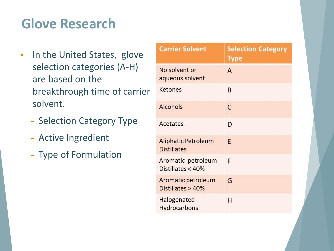#### **Glove Research**

- **IF The United States, glove** selection categories (A-H) are based on the breakthrough time of carrier solvent.
	- − Selection Category Type
	- − Active Ingredient
	- − Type of Formulation

| <b>Carrier Solvent</b>                    | <b>Selection Category</b><br><b>Type</b> |
|-------------------------------------------|------------------------------------------|
| No solvent or<br>aqueous solvent          | А                                        |
| Ketones                                   | B                                        |
| <b>Alcohols</b>                           | C                                        |
| Acetates                                  | D                                        |
| Aliphatic Petroleum<br><b>Distillates</b> | F                                        |
| Aromatic petroleum<br>Distillates < 40%   | F                                        |
| Aromatic petroleum<br>Distillates > 40%   | G                                        |
| Halogenated<br>Hydrocarbons               | н                                        |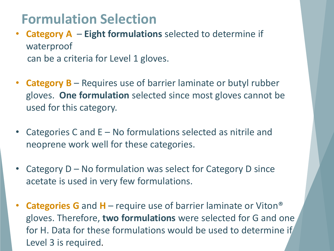#### **Formulation Selection**

- **Category A Eight formulations** selected to determine if waterproof can be a criteria for Level 1 gloves.
- **Category B**  Requires use of barrier laminate or butyl rubber gloves. **One formulation** selected since most gloves cannot be used for this category.
- Categories C and E No formulations selected as nitrile and neoprene work well for these categories.
- Category  $D No$  formulation was select for Category D since acetate is used in very few formulations.
- **Categories G** and **H** require use of barrier laminate or Viton® gloves. Therefore, **two formulations** were selected for G and one for H. Data for these formulations would be used to determine if Level 3 is required.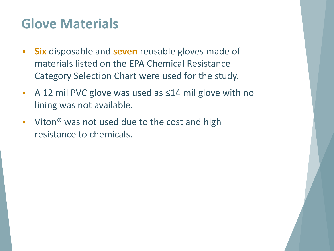#### **Glove Materials**

- **Six** disposable and **seven** reusable gloves made of materials listed on the EPA Chemical Resistance Category Selection Chart were used for the study.
- A 12 mil PVC glove was used as ≤14 mil glove with no lining was not available.
- Viton<sup>®</sup> was not used due to the cost and high resistance to chemicals.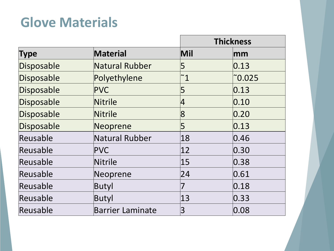#### **Glove Materials**

|             |                         | <b>Thickness</b> |                        |
|-------------|-------------------------|------------------|------------------------|
| <b>Type</b> | <b>Material</b>         | Mil              | $\mathsf{m}\mathsf{m}$ |
| Disposable  | Natural Rubber          | 5                | 0.13                   |
| Disposable  | Polyethylene            | $\degree$ 1      | $\degree$ 0.025        |
| Disposable  | PVC                     | 5                | 0.13                   |
| Disposable  | Nitrile                 | 4                | 0.10                   |
| Disposable  | Nitrile                 | $\overline{8}$   | 0.20                   |
| Disposable  | Neoprene                | 5                | 0.13                   |
| Reusable    | Natural Rubber          | 18               | 0.46                   |
| Reusable    | PVC                     | $ 12\rangle$     | 0.30                   |
| Reusable    | Nitrile                 | 15               | 0.38                   |
| Reusable    | Neoprene                | 24               | 0.61                   |
| Reusable    | Butyl                   | 7                | 0.18                   |
| Reusable    | Butyl                   | 13               | 0.33                   |
| Reusable    | <b>Barrier Laminate</b> | 3                | 0.08                   |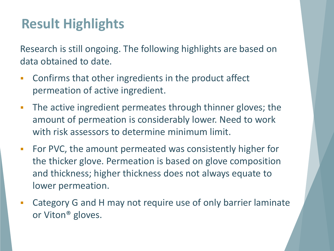#### **Result Highlights**

Research is still ongoing. The following highlights are based on data obtained to date.

- Confirms that other ingredients in the product affect permeation of active ingredient.
- **The active ingredient permeates through thinner gloves; the** amount of permeation is considerably lower. Need to work with risk assessors to determine minimum limit.
- **For PVC, the amount permeated was consistently higher for** the thicker glove. Permeation is based on glove composition and thickness; higher thickness does not always equate to lower permeation.
- Category G and H may not require use of only barrier laminate or Viton® gloves.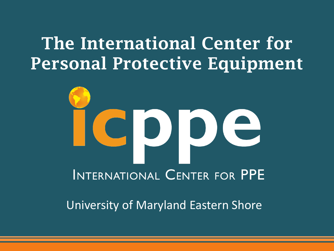### **The International Center for Personal Protective Equipment**

# INTERNATIONAL CENTER FOR PPE

University of Maryland Eastern Shore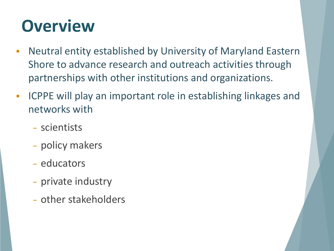# **Overview**

- Neutral entity established by University of Maryland Eastern Shore to advance research and outreach activities through partnerships with other institutions and organizations.
- **ICPPE will play an important role in establishing linkages and** networks with
	- − scientists
	- − policy makers
	- − educators
	- − private industry
	- − other stakeholders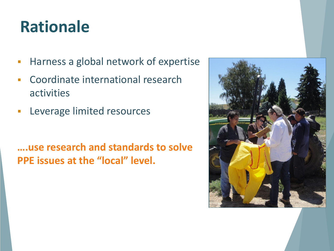## **Rationale**

- Harness a global network of expertise
- **EXCOORDINATE International research** activities
- **Leverage limited resources**

**….use research and standards to solve PPE issues at the "local" level.**